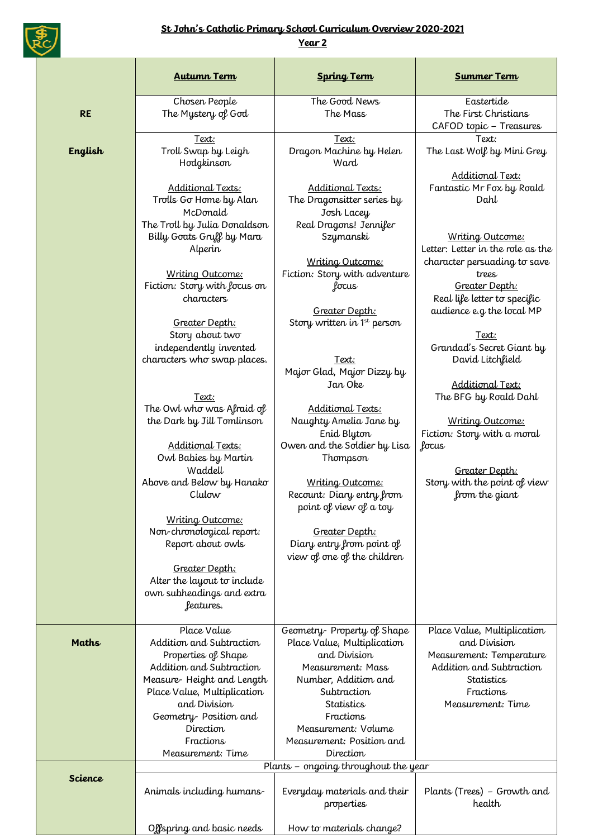

## **St John's Catholic Primary School Curriculum Overview 2020-2021**

**Year 2**

|              | <b>Autumn Term</b>                                                                                                      | <b>Spring Term</b>                                                                                                     | <b>Summer Term</b>                                                                                                                                        |
|--------------|-------------------------------------------------------------------------------------------------------------------------|------------------------------------------------------------------------------------------------------------------------|-----------------------------------------------------------------------------------------------------------------------------------------------------------|
| <b>RE</b>    | Chosen People<br>The Mystery of God                                                                                     | The Good News<br>The Mass                                                                                              | Eastertide<br>The First Christians<br>CAFOD topic - Treasures                                                                                             |
| English      | <u>Text:</u><br>Troll Swap by Leigh<br>Hodgkinson                                                                       | Text:<br>Dragon Machine by Helen<br>Ward                                                                               | Text:<br>The Last Wolf by Mini Grey                                                                                                                       |
|              | Additional Texts:<br>Trolls Go Home by Alan<br>McDonald<br>The Troll by Julia Donaldson<br>Billy Goats Gruff by Mara    | Additional Texts:<br>The Dragonsitter series by<br>Josh Lacey<br>Real Dragons! Jennifer<br>Szymanski                   | Additional Text:<br>Fantastic Mr Fox by Roald<br>Dahl<br>Writing Outcome:                                                                                 |
|              | Alperin<br>Writing Outcome:<br>Fiction: Story with focus on<br>characters                                               | Writing Outcome:<br>Fiction: Story with adventure<br>focus<br>Greater Depth:                                           | Letter: Letter in the role as the<br>character persuading to save<br>trees<br>Greater Depth:<br>Real life letter to specific<br>audience e.g the local MP |
|              | Greater Depth:<br>Story about two<br>independently invented<br>characters who swap places.                              | Story written in 1st person<br>Text:<br>Major Glad, Major Dizzy by<br>Jan Oke                                          | Text:<br>Grandad's Secret Giant by<br>David Litchfield<br>Additional Text:                                                                                |
|              | Text:<br>The Owl who was Afraid of<br>the Dark by Jill Tomlinson<br>Additional Texts:<br>Owl Babies by Martin           | Additional Texts:<br>Naughty Amelia Jane by<br>Enid Blyton<br>Owen and the Soldier by Lisa<br>Thompson                 | The BFG by Roald Dahl<br>Writing Outcome:<br>Fiction: Story with a moral<br>focus                                                                         |
|              | Waddell<br>Above and Below by Hanako<br>Clulow                                                                          | Writing Outcome:<br>Recount: Diary entry from<br>point of view of a toy                                                | Greater Depth:<br>Story with the point of view<br>from the giant                                                                                          |
|              | Writing Outcome:<br>Non-chronological report:<br>Report about owls                                                      | Greater Depth:<br>Diary entry from point of<br>view of one of the children                                             |                                                                                                                                                           |
|              | Greater Depth:<br>Alter the layout to include<br>own subheadings and extra<br>features.                                 |                                                                                                                        |                                                                                                                                                           |
| <b>Maths</b> | Place Value<br>Addition and Subtraction<br>Properties of Shape<br>Addition and Subtraction<br>Measure-Height and Length | Geometry-Property of Shape<br>Place Value, Multiplication<br>and Division<br>Measurement: Mass<br>Number, Addition and | Place Value, Multiplication<br>and Division<br>Measurement: Temperature<br>Addition and Subtraction<br>Statistics                                         |
|              | Place Value, Multiplication<br>and Division<br>Geometry-Position and<br>Direction<br>Fractions<br>Measurement: Time     | Subtraction<br>Statistics<br>Fractions<br>Measurement: Volume<br>Measurement: Position and<br>Direction                | Fractions<br>Measurement: Time                                                                                                                            |
| Science      | Animals including humans                                                                                                | Plants - ongoing throughout the year<br>Everyday materials and their<br>properties                                     | Plants (Trees) – Growth and<br>health                                                                                                                     |
|              | Offspring and basic needs                                                                                               | How to materials change?                                                                                               |                                                                                                                                                           |